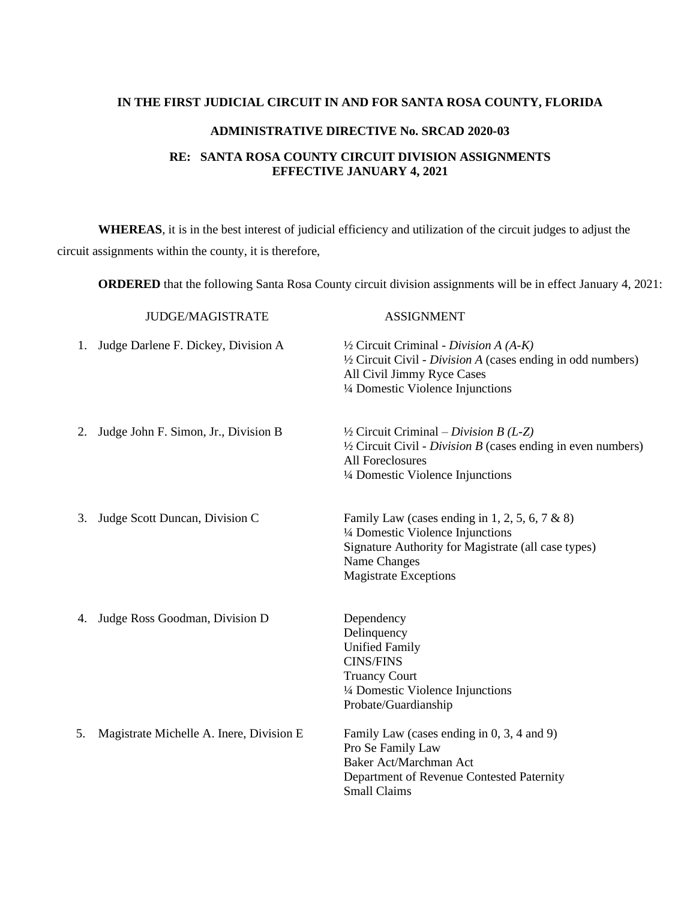## **IN THE FIRST JUDICIAL CIRCUIT IN AND FOR SANTA ROSA COUNTY, FLORIDA**

## **ADMINISTRATIVE DIRECTIVE No. SRCAD 2020-03**

## **RE: SANTA ROSA COUNTY CIRCUIT DIVISION ASSIGNMENTS EFFECTIVE JANUARY 4, 2021**

**WHEREAS**, it is in the best interest of judicial efficiency and utilization of the circuit judges to adjust the circuit assignments within the county, it is therefore,

**ORDERED** that the following Santa Rosa County circuit division assignments will be in effect January 4, 2021:

|    | <b>JUDGE/MAGISTRATE</b>                   | <b>ASSIGNMENT</b>                                                                                                                                                                                     |
|----|-------------------------------------------|-------------------------------------------------------------------------------------------------------------------------------------------------------------------------------------------------------|
| 1. | Judge Darlene F. Dickey, Division A.      | $\frac{1}{2}$ Circuit Criminal - Division A (A-K)<br>$\frac{1}{2}$ Circuit Civil - <i>Division A</i> (cases ending in odd numbers)<br>All Civil Jimmy Ryce Cases<br>1/4 Domestic Violence Injunctions |
| 2. | Judge John F. Simon, Jr., Division B      | $\frac{1}{2}$ Circuit Criminal – Division B (L-Z)<br>$\frac{1}{2}$ Circuit Civil - Division B (cases ending in even numbers)<br>All Foreclosures<br>1/4 Domestic Violence Injunctions                 |
| 3. | Judge Scott Duncan, Division C            | Family Law (cases ending in 1, 2, 5, 6, 7 & 8)<br>1/4 Domestic Violence Injunctions<br>Signature Authority for Magistrate (all case types)<br>Name Changes<br><b>Magistrate Exceptions</b>            |
| 4. | Judge Ross Goodman, Division D            | Dependency<br>Delinquency<br><b>Unified Family</b><br><b>CINS/FINS</b><br><b>Truancy Court</b><br>1/4 Domestic Violence Injunctions<br>Probate/Guardianship                                           |
| 5. | Magistrate Michelle A. Inere, Division E. | Family Law (cases ending in 0, 3, 4 and 9)<br>Pro Se Family Law<br>Baker Act/Marchman Act<br>Department of Revenue Contested Paternity<br><b>Small Claims</b>                                         |